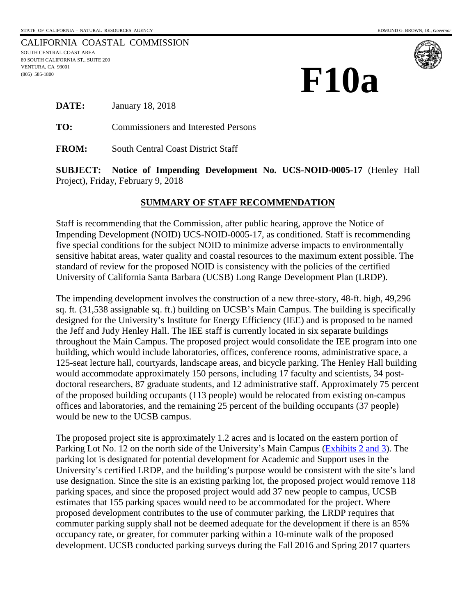CALIFORNIA COASTAL COMMISSION SOUTH CENTRAL COAST AREA 89 SOUTH CALIFORNIA ST., SUITE 200 89 SOUTH CALIFORN<br>VENTURA, CA 93001<br>(805) 585-1800<br>**—** (805) 585-1800





**DATE:** January 18, 2018

**TO:** Commissioners and Interested Persons

**FROM:** South Central Coast District Staff

**SUBJECT: Notice of Impending Development No. UCS-NOID-0005-17** (Henley Hall Project), Friday, February 9, 2018

#### **SUMMARY OF STAFF RECOMMENDATION**

Staff is recommending that the Commission, after public hearing, approve the Notice of Impending Development (NOID) UCS-NOID-0005-17, as conditioned. Staff is recommending five special conditions for the subject NOID to minimize adverse impacts to environmentally sensitive habitat areas, water quality and coastal resources to the maximum extent possible. The standard of review for the proposed NOID is consistency with the policies of the certified University of California Santa Barbara (UCSB) Long Range Development Plan (LRDP).

The impending development involves the construction of a new three-story, 48-ft. high, 49,296 sq. ft. (31,538 assignable sq. ft.) building on UCSB's Main Campus. The building is specifically designed for the University's Institute for Energy Efficiency (IEE) and is proposed to be named the Jeff and Judy Henley Hall. The IEE staff is currently located in six separate buildings throughout the Main Campus. The proposed project would consolidate the IEE program into one building, which would include laboratories, offices, conference rooms, administrative space, a 125-seat lecture hall, courtyards, landscape areas, and bicycle parking. The Henley Hall building would accommodate approximately 150 persons, including 17 faculty and scientists, 34 postdoctoral researchers, 87 graduate students, and 12 administrative staff. Approximately 75 percent of the proposed building occupants (113 people) would be relocated from existing on-campus offices and laboratories, and the remaining 25 percent of the building occupants (37 people) would be new to the UCSB campus.

The proposed project site is approximately 1.2 acres and is located on the eastern portion of Parking Lot No. 12 on the north side of the University's Main Campus [\(Exhibits 2 and 3\)](https://documents.coastal.ca.gov/reports/2018/2/F10a/F10a-2-2018-exhibits.pdf). The parking lot is designated for potential development for Academic and Support uses in the University's certified LRDP, and the building's purpose would be consistent with the site's land use designation. Since the site is an existing parking lot, the proposed project would remove 118 parking spaces, and since the proposed project would add 37 new people to campus, UCSB estimates that 155 parking spaces would need to be accommodated for the project. Where proposed development contributes to the use of commuter parking, the LRDP requires that commuter parking supply shall not be deemed adequate for the development if there is an 85% occupancy rate, or greater, for commuter parking within a 10-minute walk of the proposed development. UCSB conducted parking surveys during the Fall 2016 and Spring 2017 quarters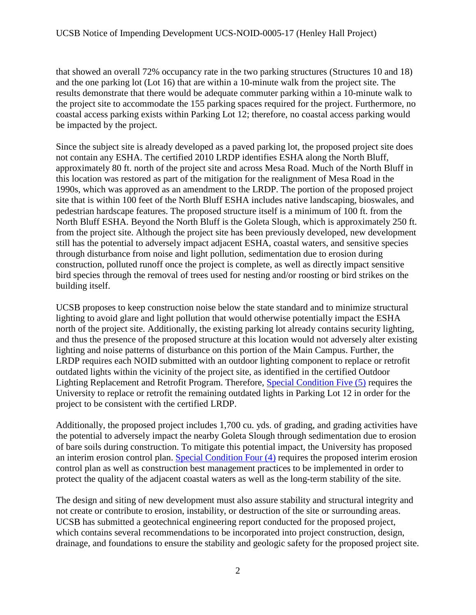that showed an overall 72% occupancy rate in the two parking structures (Structures 10 and 18) and the one parking lot (Lot 16) that are within a 10-minute walk from the project site. The results demonstrate that there would be adequate commuter parking within a 10-minute walk to the project site to accommodate the 155 parking spaces required for the project. Furthermore, no coastal access parking exists within Parking Lot 12; therefore, no coastal access parking would be impacted by the project.

Since the subject site is already developed as a paved parking lot, the proposed project site does not contain any ESHA. The certified 2010 LRDP identifies ESHA along the North Bluff, approximately 80 ft. north of the project site and across Mesa Road. Much of the North Bluff in this location was restored as part of the mitigation for the realignment of Mesa Road in the 1990s, which was approved as an amendment to the LRDP. The portion of the proposed project site that is within 100 feet of the North Bluff ESHA includes native landscaping, bioswales, and pedestrian hardscape features. The proposed structure itself is a minimum of 100 ft. from the North Bluff ESHA. Beyond the North Bluff is the Goleta Slough, which is approximately 250 ft. from the project site. Although the project site has been previously developed, new development still has the potential to adversely impact adjacent ESHA, coastal waters, and sensitive species through disturbance from noise and light pollution, sedimentation due to erosion during construction, polluted runoff once the project is complete, as well as directly impact sensitive bird species through the removal of trees used for nesting and/or roosting or bird strikes on the building itself.

UCSB proposes to keep construction noise below the state standard and to minimize structural lighting to avoid glare and light pollution that would otherwise potentially impact the ESHA north of the project site. Additionally, the existing parking lot already contains security lighting, and thus the presence of the proposed structure at this location would not adversely alter existing lighting and noise patterns of disturbance on this portion of the Main Campus. Further, the LRDP requires each NOID submitted with an outdoor lighting component to replace or retrofit outdated lights within the vicinity of the project site, as identified in the certified Outdoor Lighting Replacement and Retrofit Program. Therefore, [Special Condition Five \(5\)](#page-9-0) requires the University to replace or retrofit the remaining outdated lights in Parking Lot 12 in order for the project to be consistent with the certified LRDP.

Additionally, the proposed project includes 1,700 cu. yds. of grading, and grading activities have the potential to adversely impact the nearby Goleta Slough through sedimentation due to erosion of bare soils during construction. To mitigate this potential impact, the University has proposed an interim erosion control plan. [Special Condition Four \(4\)](#page-7-0) requires the proposed interim erosion control plan as well as construction best management practices to be implemented in order to protect the quality of the adjacent coastal waters as well as the long-term stability of the site.

The design and siting of new development must also assure stability and structural integrity and not create or contribute to erosion, instability, or destruction of the site or surrounding areas. UCSB has submitted a geotechnical engineering report conducted for the proposed project, which contains several recommendations to be incorporated into project construction, design, drainage, and foundations to ensure the stability and geologic safety for the proposed project site.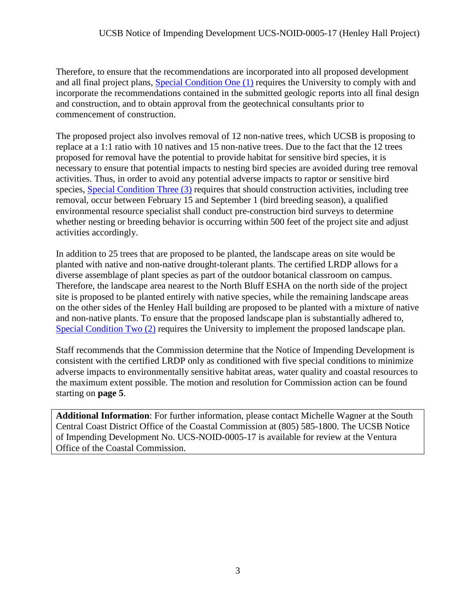Therefore, to ensure that the recommendations are incorporated into all proposed development and all final project plans, [Special Condition One \(1\)](#page-5-0) requires the University to comply with and incorporate the recommendations contained in the submitted geologic reports into all final design and construction, and to obtain approval from the geotechnical consultants prior to commencement of construction.

The proposed project also involves removal of 12 non-native trees, which UCSB is proposing to replace at a 1:1 ratio with 10 natives and 15 non-native trees. Due to the fact that the 12 trees proposed for removal have the potential to provide habitat for sensitive bird species, it is necessary to ensure that potential impacts to nesting bird species are avoided during tree removal activities. Thus, in order to avoid any potential adverse impacts to raptor or sensitive bird species, [Special Condition Three \(3\)](#page-5-1) requires that should construction activities, including tree removal, occur between February 15 and September 1 (bird breeding season), a qualified environmental resource specialist shall conduct pre-construction bird surveys to determine whether nesting or breeding behavior is occurring within 500 feet of the project site and adjust activities accordingly.

In addition to 25 trees that are proposed to be planted, the landscape areas on site would be planted with native and non-native drought-tolerant plants. The certified LRDP allows for a diverse assemblage of plant species as part of the outdoor botanical classroom on campus. Therefore, the landscape area nearest to the North Bluff ESHA on the north side of the project site is proposed to be planted entirely with native species, while the remaining landscape areas on the other sides of the Henley Hall building are proposed to be planted with a mixture of native and non-native plants. To ensure that the proposed landscape plan is substantially adhered to, [Special Condition Two \(2\)](#page-5-2) requires the University to implement the proposed landscape plan.

Staff recommends that the Commission determine that the Notice of Impending Development is consistent with the certified LRDP only as conditioned with five special conditions to minimize adverse impacts to environmentally sensitive habitat areas, water quality and coastal resources to the maximum extent possible. The motion and resolution for Commission action can be found starting on **page 5**.

**Additional Information**: For further information, please contact Michelle Wagner at the South Central Coast District Office of the Coastal Commission at (805) 585-1800. The UCSB Notice of Impending Development No. UCS-NOID-0005-17 is available for review at the Ventura Office of the Coastal Commission.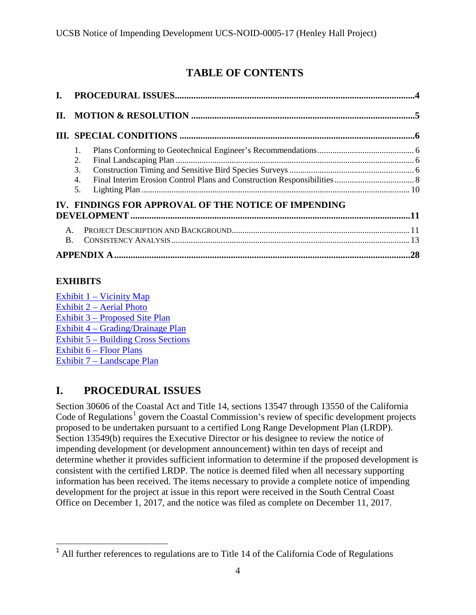# **TABLE OF CONTENTS**

| L.                               |                                                      |  |
|----------------------------------|------------------------------------------------------|--|
| $\Pi$ .                          |                                                      |  |
|                                  |                                                      |  |
|                                  | 1.<br>2.<br>3.<br>4.<br>5.                           |  |
|                                  | IV. FINDINGS FOR APPROVAL OF THE NOTICE OF IMPENDING |  |
| $\mathsf{A}$ .<br>$\mathbf{B}$ . |                                                      |  |
|                                  |                                                      |  |

# **EXHIBITS**

Exhibit  $1 -$  Vicinity Map [Exhibit 2 – Aerial Photo](https://documents.coastal.ca.gov/reports/2018/2/F10a/F10a-2-2018-exhibits.pdf)  [Exhibit 3 – Proposed Site Plan](https://documents.coastal.ca.gov/reports/2018/2/F10a/F10a-2-2018-exhibits.pdf)  [Exhibit 4 – Grading/Drainage Plan](https://documents.coastal.ca.gov/reports/2018/2/F10a/F10a-2-2018-exhibits.pdf) [Exhibit 5 – Building Cross Sections](https://documents.coastal.ca.gov/reports/2018/2/F10a/F10a-2-2018-exhibits.pdf)  [Exhibit 6 – Floor Plans](https://documents.coastal.ca.gov/reports/2018/2/F10a/F10a-2-2018-exhibits.pdf)  [Exhibit 7 – Landscape Plan](https://documents.coastal.ca.gov/reports/2018/2/F10a/F10a-2-2018-exhibits.pdf)

# <span id="page-3-0"></span>**I. PROCEDURAL ISSUES**

Section 30606 of the Coastal Act and Title 14, sections 13547 through 13550 of the California Code of Regulations<sup>[1](#page-3-1)</sup> govern the Coastal Commission's review of specific development projects proposed to be undertaken pursuant to a certified Long Range Development Plan (LRDP). Section 13549(b) requires the Executive Director or his designee to review the notice of impending development (or development announcement) within ten days of receipt and determine whether it provides sufficient information to determine if the proposed development is consistent with the certified LRDP. The notice is deemed filed when all necessary supporting information has been received. The items necessary to provide a complete notice of impending development for the project at issue in this report were received in the South Central Coast Office on December 1, 2017, and the notice was filed as complete on December 11, 2017.

<span id="page-3-1"></span> $\overline{a}$  $<sup>1</sup>$  All further references to regulations are to Title 14 of the California Code of Regulations</sup>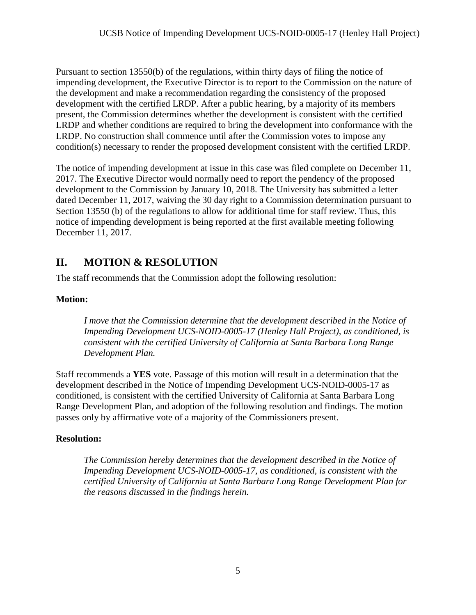Pursuant to section 13550(b) of the regulations, within thirty days of filing the notice of impending development, the Executive Director is to report to the Commission on the nature of the development and make a recommendation regarding the consistency of the proposed development with the certified LRDP. After a public hearing, by a majority of its members present, the Commission determines whether the development is consistent with the certified LRDP and whether conditions are required to bring the development into conformance with the LRDP. No construction shall commence until after the Commission votes to impose any condition(s) necessary to render the proposed development consistent with the certified LRDP.

The notice of impending development at issue in this case was filed complete on December 11, 2017. The Executive Director would normally need to report the pendency of the proposed development to the Commission by January 10, 2018. The University has submitted a letter dated December 11, 2017, waiving the 30 day right to a Commission determination pursuant to Section 13550 (b) of the regulations to allow for additional time for staff review. Thus, this notice of impending development is being reported at the first available meeting following December 11, 2017.

# <span id="page-4-0"></span>**II. MOTION & RESOLUTION**

The staff recommends that the Commission adopt the following resolution:

# **Motion:**

*I move that the Commission determine that the development described in the Notice of Impending Development UCS-NOID-0005-17 (Henley Hall Project), as conditioned, is consistent with the certified University of California at Santa Barbara Long Range Development Plan.* 

Staff recommends a **YES** vote. Passage of this motion will result in a determination that the development described in the Notice of Impending Development UCS-NOID-0005-17 as conditioned, is consistent with the certified University of California at Santa Barbara Long Range Development Plan, and adoption of the following resolution and findings. The motion passes only by affirmative vote of a majority of the Commissioners present.

# **Resolution:**

*The Commission hereby determines that the development described in the Notice of Impending Development UCS-NOID-0005-17, as conditioned, is consistent with the certified University of California at Santa Barbara Long Range Development Plan for the reasons discussed in the findings herein.*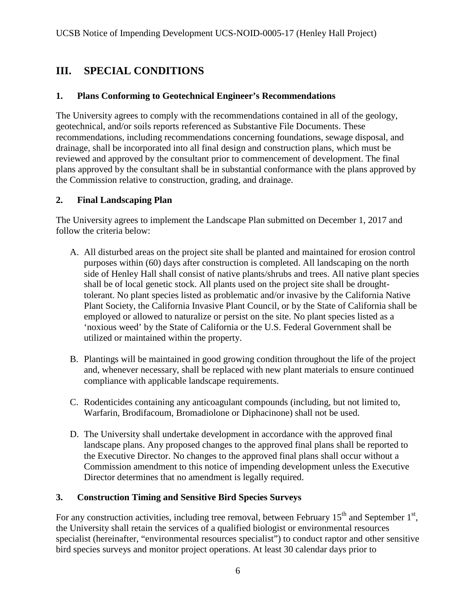# <span id="page-5-3"></span>**III. SPECIAL CONDITIONS**

#### <span id="page-5-0"></span>**1. Plans Conforming to Geotechnical Engineer's Recommendations**

The University agrees to comply with the recommendations contained in all of the geology, geotechnical, and/or soils reports referenced as Substantive File Documents. These recommendations, including recommendations concerning foundations, sewage disposal, and drainage, shall be incorporated into all final design and construction plans, which must be reviewed and approved by the consultant prior to commencement of development. The final plans approved by the consultant shall be in substantial conformance with the plans approved by the Commission relative to construction, grading, and drainage.

#### <span id="page-5-2"></span>**2. Final Landscaping Plan**

The University agrees to implement the Landscape Plan submitted on December 1, 2017 and follow the criteria below:

- A. All disturbed areas on the project site shall be planted and maintained for erosion control purposes within (60) days after construction is completed. All landscaping on the north side of Henley Hall shall consist of native plants/shrubs and trees. All native plant species shall be of local genetic stock. All plants used on the project site shall be droughttolerant. No plant species listed as problematic and/or invasive by the California Native Plant Society, the California Invasive Plant Council, or by the State of California shall be employed or allowed to naturalize or persist on the site. No plant species listed as a 'noxious weed' by the State of California or the U.S. Federal Government shall be utilized or maintained within the property.
- B. Plantings will be maintained in good growing condition throughout the life of the project and, whenever necessary, shall be replaced with new plant materials to ensure continued compliance with applicable landscape requirements.
- C. Rodenticides containing any anticoagulant compounds (including, but not limited to, Warfarin, Brodifacoum, Bromadiolone or Diphacinone) shall not be used.
- D. The University shall undertake development in accordance with the approved final landscape plans. Any proposed changes to the approved final plans shall be reported to the Executive Director. No changes to the approved final plans shall occur without a Commission amendment to this notice of impending development unless the Executive Director determines that no amendment is legally required.

# <span id="page-5-1"></span>**3. Construction Timing and Sensitive Bird Species Surveys**

For any construction activities, including tree removal, between February  $15<sup>th</sup>$  and September  $1<sup>st</sup>$ , the University shall retain the services of a qualified biologist or environmental resources specialist (hereinafter, "environmental resources specialist") to conduct raptor and other sensitive bird species surveys and monitor project operations. At least 30 calendar days prior to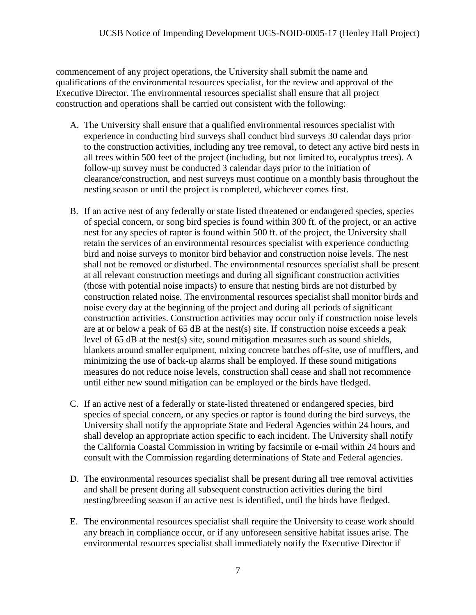commencement of any project operations, the University shall submit the name and qualifications of the environmental resources specialist, for the review and approval of the Executive Director. The environmental resources specialist shall ensure that all project construction and operations shall be carried out consistent with the following:

- A. The University shall ensure that a qualified environmental resources specialist with experience in conducting bird surveys shall conduct bird surveys 30 calendar days prior to the construction activities, including any tree removal, to detect any active bird nests in all trees within 500 feet of the project (including, but not limited to, eucalyptus trees). A follow-up survey must be conducted 3 calendar days prior to the initiation of clearance/construction, and nest surveys must continue on a monthly basis throughout the nesting season or until the project is completed, whichever comes first.
- B. If an active nest of any federally or state listed threatened or endangered species, species of special concern, or song bird species is found within 300 ft. of the project, or an active nest for any species of raptor is found within 500 ft. of the project, the University shall retain the services of an environmental resources specialist with experience conducting bird and noise surveys to monitor bird behavior and construction noise levels. The nest shall not be removed or disturbed. The environmental resources specialist shall be present at all relevant construction meetings and during all significant construction activities (those with potential noise impacts) to ensure that nesting birds are not disturbed by construction related noise. The environmental resources specialist shall monitor birds and noise every day at the beginning of the project and during all periods of significant construction activities. Construction activities may occur only if construction noise levels are at or below a peak of 65 dB at the nest(s) site. If construction noise exceeds a peak level of 65 dB at the nest(s) site, sound mitigation measures such as sound shields, blankets around smaller equipment, mixing concrete batches off-site, use of mufflers, and minimizing the use of back-up alarms shall be employed. If these sound mitigations measures do not reduce noise levels, construction shall cease and shall not recommence until either new sound mitigation can be employed or the birds have fledged.
- C. If an active nest of a federally or state-listed threatened or endangered species, bird species of special concern, or any species or raptor is found during the bird surveys, the University shall notify the appropriate State and Federal Agencies within 24 hours, and shall develop an appropriate action specific to each incident. The University shall notify the California Coastal Commission in writing by facsimile or e-mail within 24 hours and consult with the Commission regarding determinations of State and Federal agencies.
- D. The environmental resources specialist shall be present during all tree removal activities and shall be present during all subsequent construction activities during the bird nesting/breeding season if an active nest is identified, until the birds have fledged.
- E. The environmental resources specialist shall require the University to cease work should any breach in compliance occur, or if any unforeseen sensitive habitat issues arise. The environmental resources specialist shall immediately notify the Executive Director if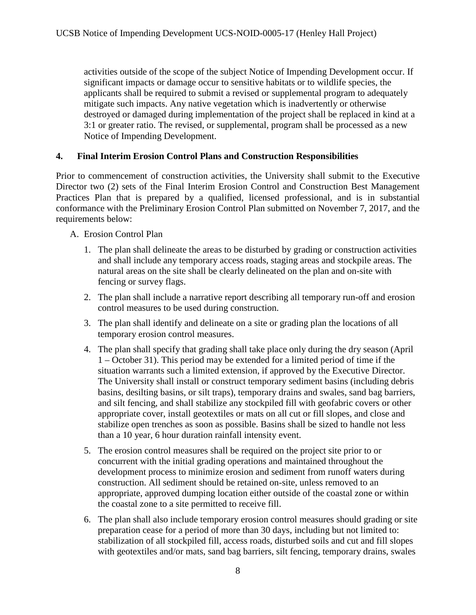activities outside of the scope of the subject Notice of Impending Development occur. If significant impacts or damage occur to sensitive habitats or to wildlife species, the applicants shall be required to submit a revised or supplemental program to adequately mitigate such impacts. Any native vegetation which is inadvertently or otherwise destroyed or damaged during implementation of the project shall be replaced in kind at a 3:1 or greater ratio. The revised, or supplemental, program shall be processed as a new Notice of Impending Development.

#### <span id="page-7-0"></span>**4. Final Interim Erosion Control Plans and Construction Responsibilities**

Prior to commencement of construction activities, the University shall submit to the Executive Director two (2) sets of the Final Interim Erosion Control and Construction Best Management Practices Plan that is prepared by a qualified, licensed professional, and is in substantial conformance with the Preliminary Erosion Control Plan submitted on November 7, 2017, and the requirements below:

#### A. Erosion Control Plan

- 1. The plan shall delineate the areas to be disturbed by grading or construction activities and shall include any temporary access roads, staging areas and stockpile areas. The natural areas on the site shall be clearly delineated on the plan and on-site with fencing or survey flags.
- 2. The plan shall include a narrative report describing all temporary run-off and erosion control measures to be used during construction.
- 3. The plan shall identify and delineate on a site or grading plan the locations of all temporary erosion control measures.
- 4. The plan shall specify that grading shall take place only during the dry season (April 1 – October 31). This period may be extended for a limited period of time if the situation warrants such a limited extension, if approved by the Executive Director. The University shall install or construct temporary sediment basins (including debris basins, desilting basins, or silt traps), temporary drains and swales, sand bag barriers, and silt fencing, and shall stabilize any stockpiled fill with geofabric covers or other appropriate cover, install geotextiles or mats on all cut or fill slopes, and close and stabilize open trenches as soon as possible. Basins shall be sized to handle not less than a 10 year, 6 hour duration rainfall intensity event.
- 5. The erosion control measures shall be required on the project site prior to or concurrent with the initial grading operations and maintained throughout the development process to minimize erosion and sediment from runoff waters during construction. All sediment should be retained on-site, unless removed to an appropriate, approved dumping location either outside of the coastal zone or within the coastal zone to a site permitted to receive fill.
- 6. The plan shall also include temporary erosion control measures should grading or site preparation cease for a period of more than 30 days, including but not limited to: stabilization of all stockpiled fill, access roads, disturbed soils and cut and fill slopes with geotextiles and/or mats, sand bag barriers, silt fencing, temporary drains, swales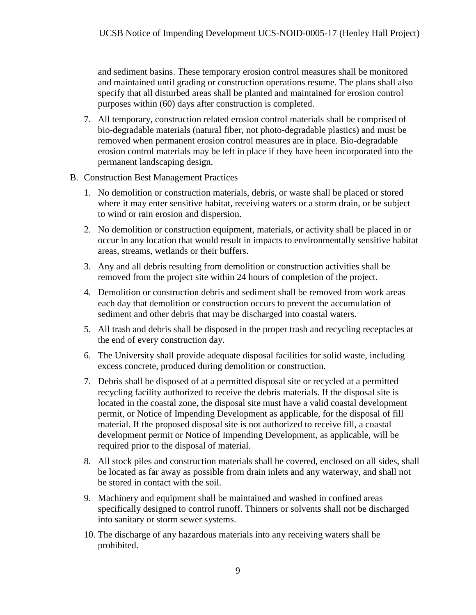and sediment basins. These temporary erosion control measures shall be monitored and maintained until grading or construction operations resume. The plans shall also specify that all disturbed areas shall be planted and maintained for erosion control purposes within (60) days after construction is completed.

- 7. All temporary, construction related erosion control materials shall be comprised of bio-degradable materials (natural fiber, not photo-degradable plastics) and must be removed when permanent erosion control measures are in place. Bio-degradable erosion control materials may be left in place if they have been incorporated into the permanent landscaping design.
- B. Construction Best Management Practices
	- 1. No demolition or construction materials, debris, or waste shall be placed or stored where it may enter sensitive habitat, receiving waters or a storm drain, or be subject to wind or rain erosion and dispersion.
	- 2. No demolition or construction equipment, materials, or activity shall be placed in or occur in any location that would result in impacts to environmentally sensitive habitat areas, streams, wetlands or their buffers.
	- 3. Any and all debris resulting from demolition or construction activities shall be removed from the project site within 24 hours of completion of the project.
	- 4. Demolition or construction debris and sediment shall be removed from work areas each day that demolition or construction occurs to prevent the accumulation of sediment and other debris that may be discharged into coastal waters.
	- 5. All trash and debris shall be disposed in the proper trash and recycling receptacles at the end of every construction day.
	- 6. The University shall provide adequate disposal facilities for solid waste, including excess concrete, produced during demolition or construction.
	- 7. Debris shall be disposed of at a permitted disposal site or recycled at a permitted recycling facility authorized to receive the debris materials. If the disposal site is located in the coastal zone, the disposal site must have a valid coastal development permit, or Notice of Impending Development as applicable, for the disposal of fill material. If the proposed disposal site is not authorized to receive fill, a coastal development permit or Notice of Impending Development, as applicable, will be required prior to the disposal of material.
	- 8. All stock piles and construction materials shall be covered, enclosed on all sides, shall be located as far away as possible from drain inlets and any waterway, and shall not be stored in contact with the soil.
	- 9. Machinery and equipment shall be maintained and washed in confined areas specifically designed to control runoff. Thinners or solvents shall not be discharged into sanitary or storm sewer systems.
	- 10. The discharge of any hazardous materials into any receiving waters shall be prohibited.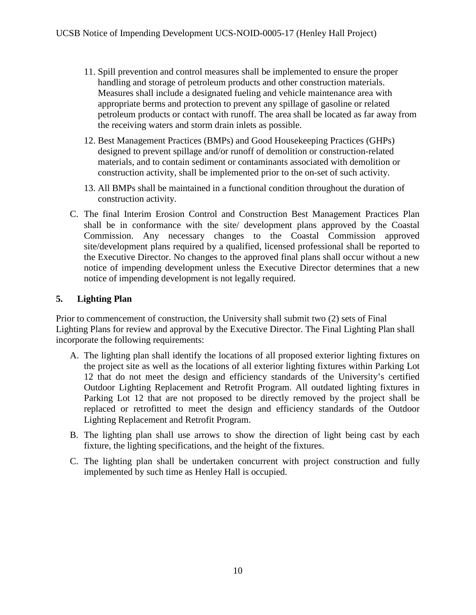- 11. Spill prevention and control measures shall be implemented to ensure the proper handling and storage of petroleum products and other construction materials. Measures shall include a designated fueling and vehicle maintenance area with appropriate berms and protection to prevent any spillage of gasoline or related petroleum products or contact with runoff. The area shall be located as far away from the receiving waters and storm drain inlets as possible.
- 12. Best Management Practices (BMPs) and Good Housekeeping Practices (GHPs) designed to prevent spillage and/or runoff of demolition or construction-related materials, and to contain sediment or contaminants associated with demolition or construction activity, shall be implemented prior to the on-set of such activity.
- 13. All BMPs shall be maintained in a functional condition throughout the duration of construction activity.
- C. The final Interim Erosion Control and Construction Best Management Practices Plan shall be in conformance with the site/ development plans approved by the Coastal Commission. Any necessary changes to the Coastal Commission approved site/development plans required by a qualified, licensed professional shall be reported to the Executive Director. No changes to the approved final plans shall occur without a new notice of impending development unless the Executive Director determines that a new notice of impending development is not legally required.

#### <span id="page-9-0"></span>**5. Lighting Plan**

Prior to commencement of construction, the University shall submit two (2) sets of Final Lighting Plans for review and approval by the Executive Director. The Final Lighting Plan shall incorporate the following requirements:

- A. The lighting plan shall identify the locations of all proposed exterior lighting fixtures on the project site as well as the locations of all exterior lighting fixtures within Parking Lot 12 that do not meet the design and efficiency standards of the University's certified Outdoor Lighting Replacement and Retrofit Program. All outdated lighting fixtures in Parking Lot 12 that are not proposed to be directly removed by the project shall be replaced or retrofitted to meet the design and efficiency standards of the Outdoor Lighting Replacement and Retrofit Program.
- B. The lighting plan shall use arrows to show the direction of light being cast by each fixture, the lighting specifications, and the height of the fixtures.
- C. The lighting plan shall be undertaken concurrent with project construction and fully implemented by such time as Henley Hall is occupied.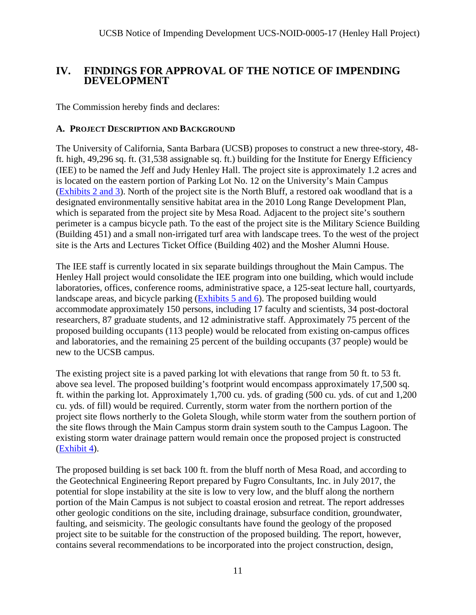# <span id="page-10-0"></span>**IV. FINDINGS FOR APPROVAL OF THE NOTICE OF IMPENDING DEVELOPMENT**

The Commission hereby finds and declares:

#### <span id="page-10-1"></span>**A. PROJECT DESCRIPTION AND BACKGROUND**

The University of California, Santa Barbara (UCSB) proposes to construct a new three-story, 48 ft. high, 49,296 sq. ft. (31,538 assignable sq. ft.) building for the Institute for Energy Efficiency (IEE) to be named the Jeff and Judy Henley Hall. The project site is approximately 1.2 acres and is located on the eastern portion of Parking Lot No. 12 on the University's Main Campus [\(Exhibits 2 and 3\)](https://documents.coastal.ca.gov/reports/2018/2/F10a/F10a-2-2018-exhibits.pdf). North of the project site is the North Bluff, a restored oak woodland that is a designated environmentally sensitive habitat area in the 2010 Long Range Development Plan, which is separated from the project site by Mesa Road. Adjacent to the project site's southern perimeter is a campus bicycle path. To the east of the project site is the Military Science Building (Building 451) and a small non-irrigated turf area with landscape trees. To the west of the project site is the Arts and Lectures Ticket Office (Building 402) and the Mosher Alumni House.

The IEE staff is currently located in six separate buildings throughout the Main Campus. The Henley Hall project would consolidate the IEE program into one building, which would include laboratories, offices, conference rooms, administrative space, a 125-seat lecture hall, courtyards, landscape areas, and bicycle parking  $(Exhibits 5 and 6)$ . The proposed building would accommodate approximately 150 persons, including 17 faculty and scientists, 34 post-doctoral researchers, 87 graduate students, and 12 administrative staff. Approximately 75 percent of the proposed building occupants (113 people) would be relocated from existing on-campus offices and laboratories, and the remaining 25 percent of the building occupants (37 people) would be new to the UCSB campus.

The existing project site is a paved parking lot with elevations that range from 50 ft. to 53 ft. above sea level. The proposed building's footprint would encompass approximately 17,500 sq. ft. within the parking lot. Approximately 1,700 cu. yds. of grading (500 cu. yds. of cut and 1,200 cu. yds. of fill) would be required. Currently, storm water from the northern portion of the project site flows northerly to the Goleta Slough, while storm water from the southern portion of the site flows through the Main Campus storm drain system south to the Campus Lagoon. The existing storm water drainage pattern would remain once the proposed project is constructed [\(Exhibit 4\)](https://documents.coastal.ca.gov/reports/2018/2/F10a/F10a-2-2018-exhibits.pdf).

The proposed building is set back 100 ft. from the bluff north of Mesa Road, and according to the Geotechnical Engineering Report prepared by Fugro Consultants, Inc. in July 2017, the potential for slope instability at the site is low to very low, and the bluff along the northern portion of the Main Campus is not subject to coastal erosion and retreat. The report addresses other geologic conditions on the site, including drainage, subsurface condition, groundwater, faulting, and seismicity. The geologic consultants have found the geology of the proposed project site to be suitable for the construction of the proposed building. The report, however, contains several recommendations to be incorporated into the project construction, design,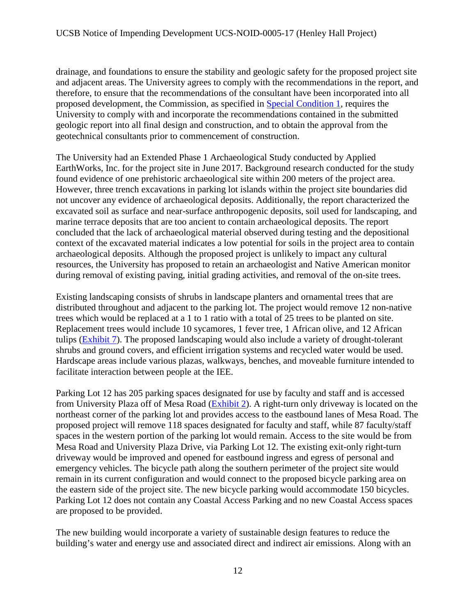drainage, and foundations to ensure the stability and geologic safety for the proposed project site and adjacent areas. The University agrees to comply with the recommendations in the report, and therefore, to ensure that the recommendations of the consultant have been incorporated into all proposed development, the Commission, as specified in [Special Condition 1,](#page-5-0) requires the University to comply with and incorporate the recommendations contained in the submitted geologic report into all final design and construction, and to obtain the approval from the geotechnical consultants prior to commencement of construction.

The University had an Extended Phase 1 Archaeological Study conducted by Applied EarthWorks, Inc. for the project site in June 2017. Background research conducted for the study found evidence of one prehistoric archaeological site within 200 meters of the project area. However, three trench excavations in parking lot islands within the project site boundaries did not uncover any evidence of archaeological deposits. Additionally, the report characterized the excavated soil as surface and near-surface anthropogenic deposits, soil used for landscaping, and marine terrace deposits that are too ancient to contain archaeological deposits. The report concluded that the lack of archaeological material observed during testing and the depositional context of the excavated material indicates a low potential for soils in the project area to contain archaeological deposits. Although the proposed project is unlikely to impact any cultural resources, the University has proposed to retain an archaeologist and Native American monitor during removal of existing paving, initial grading activities, and removal of the on-site trees.

Existing landscaping consists of shrubs in landscape planters and ornamental trees that are distributed throughout and adjacent to the parking lot. The project would remove 12 non-native trees which would be replaced at a 1 to 1 ratio with a total of 25 trees to be planted on site. Replacement trees would include 10 sycamores, 1 fever tree, 1 African olive, and 12 African tulips [\(Exhibit 7\)](https://documents.coastal.ca.gov/reports/2018/2/F10a/F10a-2-2018-exhibits.pdf). The proposed landscaping would also include a variety of drought-tolerant shrubs and ground covers, and efficient irrigation systems and recycled water would be used. Hardscape areas include various plazas, walkways, benches, and moveable furniture intended to facilitate interaction between people at the IEE.

Parking Lot 12 has 205 parking spaces designated for use by faculty and staff and is accessed from University Plaza off of Mesa Road [\(Exhibit 2\)](https://documents.coastal.ca.gov/reports/2018/2/F10a/F10a-2-2018-exhibits.pdf). A right-turn only driveway is located on the northeast corner of the parking lot and provides access to the eastbound lanes of Mesa Road. The proposed project will remove 118 spaces designated for faculty and staff, while 87 faculty/staff spaces in the western portion of the parking lot would remain. Access to the site would be from Mesa Road and University Plaza Drive, via Parking Lot 12. The existing exit-only right-turn driveway would be improved and opened for eastbound ingress and egress of personal and emergency vehicles. The bicycle path along the southern perimeter of the project site would remain in its current configuration and would connect to the proposed bicycle parking area on the eastern side of the project site. The new bicycle parking would accommodate 150 bicycles. Parking Lot 12 does not contain any Coastal Access Parking and no new Coastal Access spaces are proposed to be provided.

The new building would incorporate a variety of sustainable design features to reduce the building's water and energy use and associated direct and indirect air emissions. Along with an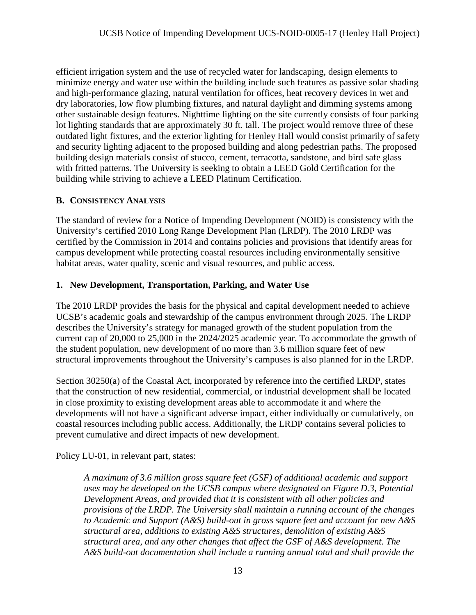efficient irrigation system and the use of recycled water for landscaping, design elements to minimize energy and water use within the building include such features as passive solar shading and high-performance glazing, natural ventilation for offices, heat recovery devices in wet and dry laboratories, low flow plumbing fixtures, and natural daylight and dimming systems among other sustainable design features. Nighttime lighting on the site currently consists of four parking lot lighting standards that are approximately 30 ft. tall. The project would remove three of these outdated light fixtures, and the exterior lighting for Henley Hall would consist primarily of safety and security lighting adjacent to the proposed building and along pedestrian paths. The proposed building design materials consist of stucco, cement, terracotta, sandstone, and bird safe glass with fritted patterns. The University is seeking to obtain a LEED Gold Certification for the building while striving to achieve a LEED Platinum Certification.

# <span id="page-12-0"></span>**B. CONSISTENCY ANALYSIS**

The standard of review for a Notice of Impending Development (NOID) is consistency with the University's certified 2010 Long Range Development Plan (LRDP). The 2010 LRDP was certified by the Commission in 2014 and contains policies and provisions that identify areas for campus development while protecting coastal resources including environmentally sensitive habitat areas, water quality, scenic and visual resources, and public access.

#### **1. New Development, Transportation, Parking, and Water Use**

The 2010 LRDP provides the basis for the physical and capital development needed to achieve UCSB's academic goals and stewardship of the campus environment through 2025. The LRDP describes the University's strategy for managed growth of the student population from the current cap of 20,000 to 25,000 in the 2024/2025 academic year. To accommodate the growth of the student population, new development of no more than 3.6 million square feet of new structural improvements throughout the University's campuses is also planned for in the LRDP.

Section 30250(a) of the Coastal Act, incorporated by reference into the certified LRDP, states that the construction of new residential, commercial, or industrial development shall be located in close proximity to existing development areas able to accommodate it and where the developments will not have a significant adverse impact, either individually or cumulatively, on coastal resources including public access. Additionally, the LRDP contains several policies to prevent cumulative and direct impacts of new development.

Policy LU-01, in relevant part, states:

*A maximum of 3.6 million gross square feet (GSF) of additional academic and support uses may be developed on the UCSB campus where designated on Figure D.3, Potential Development Areas, and provided that it is consistent with all other policies and provisions of the LRDP. The University shall maintain a running account of the changes to Academic and Support (A&S) build-out in gross square feet and account for new A&S structural area, additions to existing A&S structures, demolition of existing A&S structural area, and any other changes that affect the GSF of A&S development. The A&S build-out documentation shall include a running annual total and shall provide the*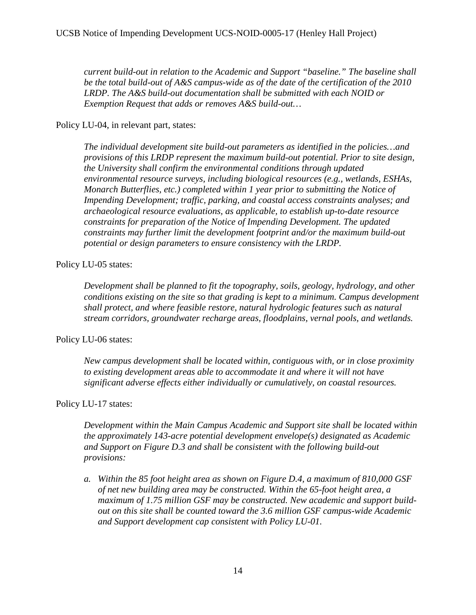*current build-out in relation to the Academic and Support "baseline." The baseline shall be the total build-out of A&S campus-wide as of the date of the certification of the 2010 LRDP. The A&S build-out documentation shall be submitted with each NOID or Exemption Request that adds or removes A&S build-out…* 

Policy LU-04, in relevant part, states:

*The individual development site build-out parameters as identified in the policies…and provisions of this LRDP represent the maximum build-out potential. Prior to site design, the University shall confirm the environmental conditions through updated environmental resource surveys, including biological resources (e.g., wetlands, ESHAs, Monarch Butterflies, etc.) completed within 1 year prior to submitting the Notice of Impending Development; traffic, parking, and coastal access constraints analyses; and archaeological resource evaluations, as applicable, to establish up-to-date resource constraints for preparation of the Notice of Impending Development. The updated constraints may further limit the development footprint and/or the maximum build-out potential or design parameters to ensure consistency with the LRDP.* 

#### Policy LU-05 states:

*Development shall be planned to fit the topography, soils, geology, hydrology, and other conditions existing on the site so that grading is kept to a minimum. Campus development shall protect, and where feasible restore, natural hydrologic features such as natural stream corridors, groundwater recharge areas, floodplains, vernal pools, and wetlands.* 

#### Policy LU-06 states:

*New campus development shall be located within, contiguous with, or in close proximity to existing development areas able to accommodate it and where it will not have significant adverse effects either individually or cumulatively, on coastal resources.* 

# Policy LU-17 states:

*Development within the Main Campus Academic and Support site shall be located within the approximately 143-acre potential development envelope(s) designated as Academic and Support on Figure D.3 and shall be consistent with the following build-out provisions:* 

*a. Within the 85 foot height area as shown on Figure D.4, a maximum of 810,000 GSF of net new building area may be constructed. Within the 65-foot height area, a maximum of 1.75 million GSF may be constructed. New academic and support buildout on this site shall be counted toward the 3.6 million GSF campus-wide Academic and Support development cap consistent with Policy LU-01.*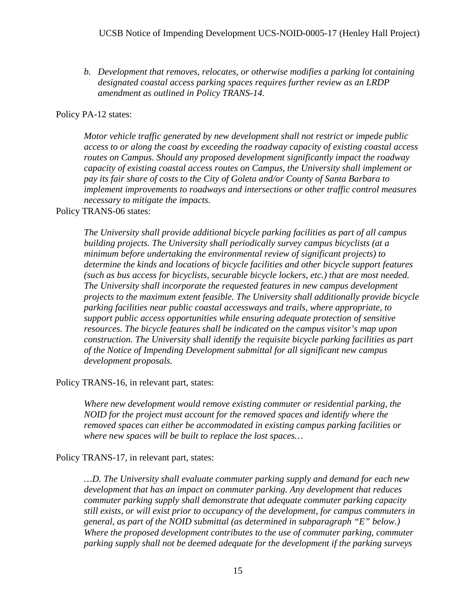*b. Development that removes, relocates, or otherwise modifies a parking lot containing designated coastal access parking spaces requires further review as an LRDP amendment as outlined in Policy TRANS-14.* 

#### Policy PA-12 states:

*Motor vehicle traffic generated by new development shall not restrict or impede public access to or along the coast by exceeding the roadway capacity of existing coastal access routes on Campus. Should any proposed development significantly impact the roadway capacity of existing coastal access routes on Campus, the University shall implement or pay its fair share of costs to the City of Goleta and/or County of Santa Barbara to implement improvements to roadways and intersections or other traffic control measures necessary to mitigate the impacts.*

#### Policy TRANS-06 states:

*The University shall provide additional bicycle parking facilities as part of all campus building projects. The University shall periodically survey campus bicyclists (at a minimum before undertaking the environmental review of significant projects) to determine the kinds and locations of bicycle facilities and other bicycle support features (such as bus access for bicyclists, securable bicycle lockers, etc.) that are most needed. The University shall incorporate the requested features in new campus development projects to the maximum extent feasible. The University shall additionally provide bicycle parking facilities near public coastal accessways and trails, where appropriate, to support public access opportunities while ensuring adequate protection of sensitive resources. The bicycle features shall be indicated on the campus visitor's map upon construction. The University shall identify the requisite bicycle parking facilities as part of the Notice of Impending Development submittal for all significant new campus development proposals.* 

Policy TRANS-16, in relevant part, states:

*Where new development would remove existing commuter or residential parking, the NOID for the project must account for the removed spaces and identify where the removed spaces can either be accommodated in existing campus parking facilities or where new spaces will be built to replace the lost spaces…* 

Policy TRANS-17, in relevant part, states:

*…D. The University shall evaluate commuter parking supply and demand for each new development that has an impact on commuter parking. Any development that reduces commuter parking supply shall demonstrate that adequate commuter parking capacity still exists, or will exist prior to occupancy of the development, for campus commuters in general, as part of the NOID submittal (as determined in subparagraph "E" below.) Where the proposed development contributes to the use of commuter parking, commuter parking supply shall not be deemed adequate for the development if the parking surveys*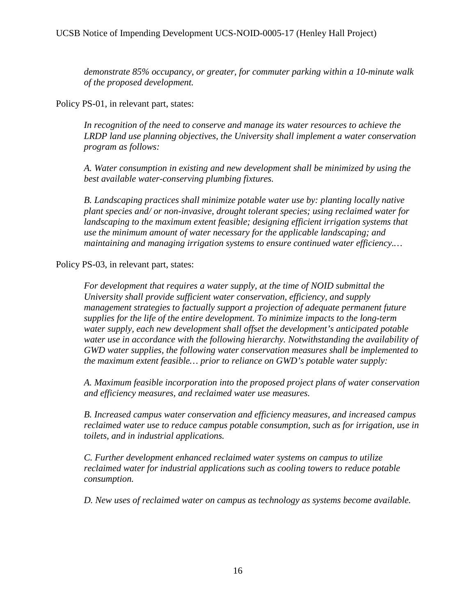*demonstrate 85% occupancy, or greater, for commuter parking within a 10-minute walk of the proposed development.* 

Policy PS-01, in relevant part, states:

*In recognition of the need to conserve and manage its water resources to achieve the LRDP land use planning objectives, the University shall implement a water conservation program as follows:* 

*A. Water consumption in existing and new development shall be minimized by using the best available water-conserving plumbing fixtures.* 

*B. Landscaping practices shall minimize potable water use by: planting locally native plant species and/ or non-invasive, drought tolerant species; using reclaimed water for landscaping to the maximum extent feasible; designing efficient irrigation systems that use the minimum amount of water necessary for the applicable landscaping; and maintaining and managing irrigation systems to ensure continued water efficiency.…*

Policy PS-03, in relevant part, states:

*For development that requires a water supply, at the time of NOID submittal the University shall provide sufficient water conservation, efficiency, and supply management strategies to factually support a projection of adequate permanent future supplies for the life of the entire development. To minimize impacts to the long-term water supply, each new development shall offset the development's anticipated potable water use in accordance with the following hierarchy. Notwithstanding the availability of GWD water supplies, the following water conservation measures shall be implemented to the maximum extent feasible… prior to reliance on GWD's potable water supply:* 

*A. Maximum feasible incorporation into the proposed project plans of water conservation and efficiency measures, and reclaimed water use measures.*

*B. Increased campus water conservation and efficiency measures, and increased campus reclaimed water use to reduce campus potable consumption, such as for irrigation, use in toilets, and in industrial applications.* 

*C. Further development enhanced reclaimed water systems on campus to utilize reclaimed water for industrial applications such as cooling towers to reduce potable consumption.* 

*D. New uses of reclaimed water on campus as technology as systems become available.*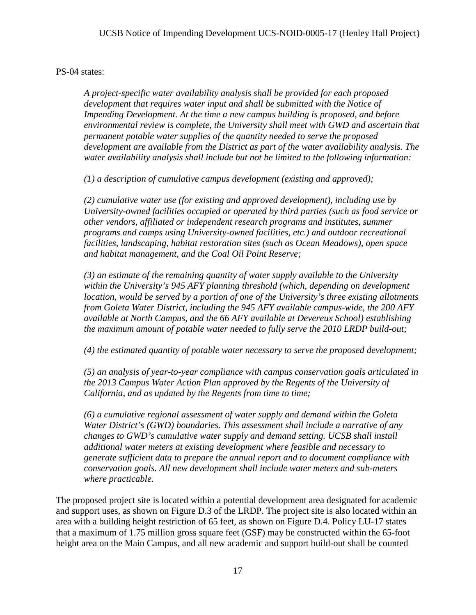PS-04 states:

*A project-specific water availability analysis shall be provided for each proposed development that requires water input and shall be submitted with the Notice of Impending Development. At the time a new campus building is proposed, and before environmental review is complete, the University shall meet with GWD and ascertain that permanent potable water supplies of the quantity needed to serve the proposed development are available from the District as part of the water availability analysis. The water availability analysis shall include but not be limited to the following information:* 

*(1) a description of cumulative campus development (existing and approved);* 

*(2) cumulative water use (for existing and approved development), including use by University-owned facilities occupied or operated by third parties (such as food service or other vendors, affiliated or independent research programs and institutes, summer programs and camps using University-owned facilities, etc.) and outdoor recreational facilities, landscaping, habitat restoration sites (such as Ocean Meadows), open space and habitat management, and the Coal Oil Point Reserve;* 

*(3) an estimate of the remaining quantity of water supply available to the University within the University's 945 AFY planning threshold (which, depending on development location, would be served by a portion of one of the University's three existing allotments from Goleta Water District, including the 945 AFY available campus-wide, the 200 AFY available at North Campus, and the 66 AFY available at Devereux School) establishing the maximum amount of potable water needed to fully serve the 2010 LRDP build-out;* 

*(4) the estimated quantity of potable water necessary to serve the proposed development;* 

*(5) an analysis of year-to-year compliance with campus conservation goals articulated in the 2013 Campus Water Action Plan approved by the Regents of the University of California, and as updated by the Regents from time to time;* 

*(6) a cumulative regional assessment of water supply and demand within the Goleta Water District's (GWD) boundaries. This assessment shall include a narrative of any changes to GWD's cumulative water supply and demand setting. UCSB shall install additional water meters at existing development where feasible and necessary to generate sufficient data to prepare the annual report and to document compliance with conservation goals. All new development shall include water meters and sub-meters where practicable.*

The proposed project site is located within a potential development area designated for academic and support uses, as shown on Figure D.3 of the LRDP. The project site is also located within an area with a building height restriction of 65 feet, as shown on Figure D.4. Policy LU-17 states that a maximum of 1.75 million gross square feet (GSF) may be constructed within the 65-foot height area on the Main Campus, and all new academic and support build-out shall be counted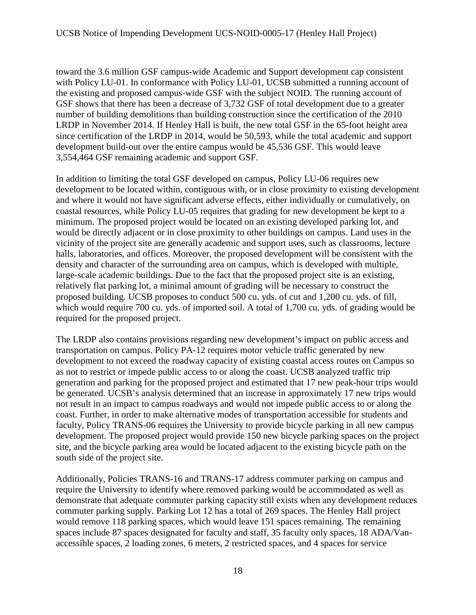toward the 3.6 million GSF campus-wide Academic and Support development cap consistent with Policy LU-01. In conformance with Policy LU-01, UCSB submitted a running account of the existing and proposed campus-wide GSF with the subject NOID. The running account of GSF shows that there has been a decrease of 3,732 GSF of total development due to a greater number of building demolitions than building construction since the certification of the 2010 LRDP in November 2014. If Henley Hall is built, the new total GSF in the 65-foot height area since certification of the LRDP in 2014, would be 50,593, while the total academic and support development build-out over the entire campus would be 45,536 GSF. This would leave 3,554,464 GSF remaining academic and support GSF.

In addition to limiting the total GSF developed on campus, Policy LU-06 requires new development to be located within, contiguous with, or in close proximity to existing development and where it would not have significant adverse effects, either individually or cumulatively, on coastal resources, while Policy LU-05 requires that grading for new development be kept to a minimum. The proposed project would be located on an existing developed parking lot, and would be directly adjacent or in close proximity to other buildings on campus. Land uses in the vicinity of the project site are generally academic and support uses, such as classrooms, lecture halls, laboratories, and offices. Moreover, the proposed development will be consistent with the density and character of the surrounding area on campus, which is developed with multiple, large-scale academic buildings. Due to the fact that the proposed project site is an existing, relatively flat parking lot, a minimal amount of grading will be necessary to construct the proposed building. UCSB proposes to conduct 500 cu. yds. of cut and 1,200 cu. yds. of fill, which would require 700 cu. yds. of imported soil. A total of 1,700 cu. yds. of grading would be required for the proposed project.

The LRDP also contains provisions regarding new development's impact on public access and transportation on campus. Policy PA-12 requires motor vehicle traffic generated by new development to not exceed the roadway capacity of existing coastal access routes on Campus so as not to restrict or impede public access to or along the coast. UCSB analyzed traffic trip generation and parking for the proposed project and estimated that 17 new peak-hour trips would be generated. UCSB's analysis determined that an increase in approximately 17 new trips would not result in an impact to campus roadways and would not impede public access to or along the coast. Further, in order to make alternative modes of transportation accessible for students and faculty, Policy TRANS-06 requires the University to provide bicycle parking in all new campus development. The proposed project would provide 150 new bicycle parking spaces on the project site, and the bicycle parking area would be located adjacent to the existing bicycle path on the south side of the project site.

Additionally, Policies TRANS-16 and TRANS-17 address commuter parking on campus and require the University to identify where removed parking would be accommodated as well as demonstrate that adequate commuter parking capacity still exists when any development reduces commuter parking supply. Parking Lot 12 has a total of 269 spaces. The Henley Hall project would remove 118 parking spaces, which would leave 151 spaces remaining. The remaining spaces include 87 spaces designated for faculty and staff, 35 faculty only spaces, 18 ADA/Vanaccessible spaces, 2 loading zones, 6 meters, 2 restricted spaces, and 4 spaces for service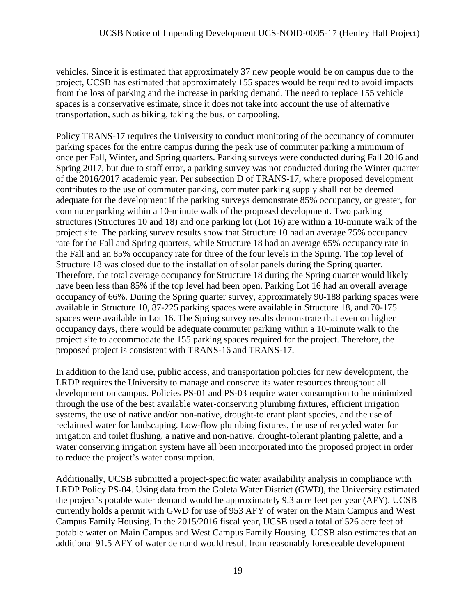vehicles. Since it is estimated that approximately 37 new people would be on campus due to the project, UCSB has estimated that approximately 155 spaces would be required to avoid impacts from the loss of parking and the increase in parking demand. The need to replace 155 vehicle spaces is a conservative estimate, since it does not take into account the use of alternative transportation, such as biking, taking the bus, or carpooling.

Policy TRANS-17 requires the University to conduct monitoring of the occupancy of commuter parking spaces for the entire campus during the peak use of commuter parking a minimum of once per Fall, Winter, and Spring quarters. Parking surveys were conducted during Fall 2016 and Spring 2017, but due to staff error, a parking survey was not conducted during the Winter quarter of the 2016/2017 academic year. Per subsection D of TRANS-17, where proposed development contributes to the use of commuter parking, commuter parking supply shall not be deemed adequate for the development if the parking surveys demonstrate 85% occupancy, or greater, for commuter parking within a 10-minute walk of the proposed development. Two parking structures (Structures 10 and 18) and one parking lot (Lot 16) are within a 10-minute walk of the project site. The parking survey results show that Structure 10 had an average 75% occupancy rate for the Fall and Spring quarters, while Structure 18 had an average 65% occupancy rate in the Fall and an 85% occupancy rate for three of the four levels in the Spring. The top level of Structure 18 was closed due to the installation of solar panels during the Spring quarter. Therefore, the total average occupancy for Structure 18 during the Spring quarter would likely have been less than 85% if the top level had been open. Parking Lot 16 had an overall average occupancy of 66%. During the Spring quarter survey, approximately 90-188 parking spaces were available in Structure 10, 87-225 parking spaces were available in Structure 18, and 70-175 spaces were available in Lot 16. The Spring survey results demonstrate that even on higher occupancy days, there would be adequate commuter parking within a 10-minute walk to the project site to accommodate the 155 parking spaces required for the project. Therefore, the proposed project is consistent with TRANS-16 and TRANS-17.

In addition to the land use, public access, and transportation policies for new development, the LRDP requires the University to manage and conserve its water resources throughout all development on campus. Policies PS-01 and PS-03 require water consumption to be minimized through the use of the best available water-conserving plumbing fixtures, efficient irrigation systems, the use of native and/or non-native, drought-tolerant plant species, and the use of reclaimed water for landscaping. Low-flow plumbing fixtures, the use of recycled water for irrigation and toilet flushing, a native and non-native, drought-tolerant planting palette, and a water conserving irrigation system have all been incorporated into the proposed project in order to reduce the project's water consumption.

Additionally, UCSB submitted a project-specific water availability analysis in compliance with LRDP Policy PS-04. Using data from the Goleta Water District (GWD), the University estimated the project's potable water demand would be approximately 9.3 acre feet per year (AFY). UCSB currently holds a permit with GWD for use of 953 AFY of water on the Main Campus and West Campus Family Housing. In the 2015/2016 fiscal year, UCSB used a total of 526 acre feet of potable water on Main Campus and West Campus Family Housing. UCSB also estimates that an additional 91.5 AFY of water demand would result from reasonably foreseeable development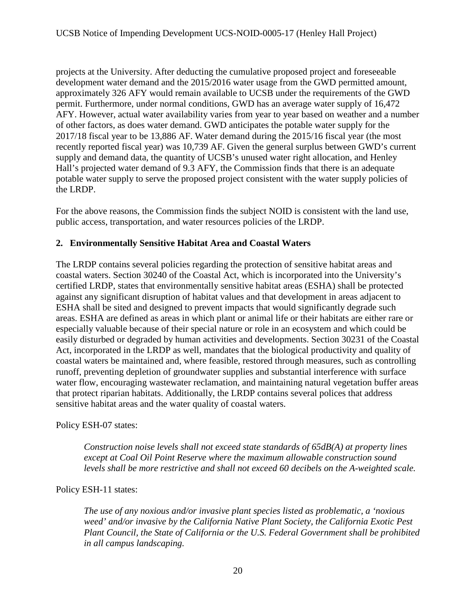projects at the University. After deducting the cumulative proposed project and foreseeable development water demand and the 2015/2016 water usage from the GWD permitted amount, approximately 326 AFY would remain available to UCSB under the requirements of the GWD permit. Furthermore, under normal conditions, GWD has an average water supply of 16,472 AFY. However, actual water availability varies from year to year based on weather and a number of other factors, as does water demand. GWD anticipates the potable water supply for the 2017/18 fiscal year to be 13,886 AF. Water demand during the 2015/16 fiscal year (the most recently reported fiscal year) was 10,739 AF. Given the general surplus between GWD's current supply and demand data, the quantity of UCSB's unused water right allocation, and Henley Hall's projected water demand of 9.3 AFY, the Commission finds that there is an adequate potable water supply to serve the proposed project consistent with the water supply policies of the LRDP.

For the above reasons, the Commission finds the subject NOID is consistent with the land use, public access, transportation, and water resources policies of the LRDP.

# **2. Environmentally Sensitive Habitat Area and Coastal Waters**

The LRDP contains several policies regarding the protection of sensitive habitat areas and coastal waters. Section 30240 of the Coastal Act, which is incorporated into the University's certified LRDP, states that environmentally sensitive habitat areas (ESHA) shall be protected against any significant disruption of habitat values and that development in areas adjacent to ESHA shall be sited and designed to prevent impacts that would significantly degrade such areas. ESHA are defined as areas in which plant or animal life or their habitats are either rare or especially valuable because of their special nature or role in an ecosystem and which could be easily disturbed or degraded by human activities and developments. Section 30231 of the Coastal Act, incorporated in the LRDP as well, mandates that the biological productivity and quality of coastal waters be maintained and, where feasible, restored through measures, such as controlling runoff, preventing depletion of groundwater supplies and substantial interference with surface water flow, encouraging wastewater reclamation, and maintaining natural vegetation buffer areas that protect riparian habitats. Additionally, the LRDP contains several polices that address sensitive habitat areas and the water quality of coastal waters.

Policy ESH-07 states:

*Construction noise levels shall not exceed state standards of 65dB(A) at property lines except at Coal Oil Point Reserve where the maximum allowable construction sound levels shall be more restrictive and shall not exceed 60 decibels on the A-weighted scale.*

Policy ESH-11 states:

*The use of any noxious and/or invasive plant species listed as problematic, a 'noxious weed' and/or invasive by the California Native Plant Society, the California Exotic Pest Plant Council, the State of California or the U.S. Federal Government shall be prohibited in all campus landscaping.*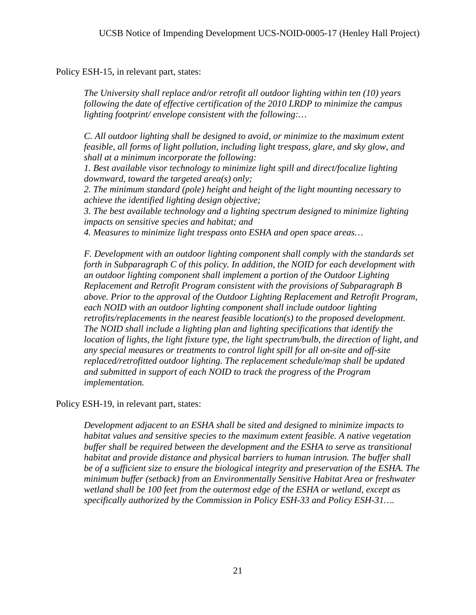Policy ESH-15, in relevant part, states:

*The University shall replace and/or retrofit all outdoor lighting within ten (10) years following the date of effective certification of the 2010 LRDP to minimize the campus lighting footprint/ envelope consistent with the following:…* 

*C. All outdoor lighting shall be designed to avoid, or minimize to the maximum extent feasible, all forms of light pollution, including light trespass, glare, and sky glow, and shall at a minimum incorporate the following:* 

*1. Best available visor technology to minimize light spill and direct/focalize lighting downward, toward the targeted area(s) only;* 

*2. The minimum standard (pole) height and height of the light mounting necessary to achieve the identified lighting design objective;*

*3. The best available technology and a lighting spectrum designed to minimize lighting impacts on sensitive species and habitat; and* 

*4. Measures to minimize light trespass onto ESHA and open space areas…* 

*F. Development with an outdoor lighting component shall comply with the standards set forth in Subparagraph C of this policy. In addition, the NOID for each development with an outdoor lighting component shall implement a portion of the Outdoor Lighting Replacement and Retrofit Program consistent with the provisions of Subparagraph B above. Prior to the approval of the Outdoor Lighting Replacement and Retrofit Program, each NOID with an outdoor lighting component shall include outdoor lighting retrofits/replacements in the nearest feasible location(s) to the proposed development. The NOID shall include a lighting plan and lighting specifications that identify the location of lights, the light fixture type, the light spectrum/bulb, the direction of light, and any special measures or treatments to control light spill for all on-site and off-site replaced/retrofitted outdoor lighting. The replacement schedule/map shall be updated and submitted in support of each NOID to track the progress of the Program implementation.* 

Policy ESH-19, in relevant part, states:

*Development adjacent to an ESHA shall be sited and designed to minimize impacts to habitat values and sensitive species to the maximum extent feasible. A native vegetation buffer shall be required between the development and the ESHA to serve as transitional habitat and provide distance and physical barriers to human intrusion. The buffer shall be of a sufficient size to ensure the biological integrity and preservation of the ESHA. The minimum buffer (setback) from an Environmentally Sensitive Habitat Area or freshwater wetland shall be 100 feet from the outermost edge of the ESHA or wetland, except as specifically authorized by the Commission in Policy ESH-33 and Policy ESH-31….*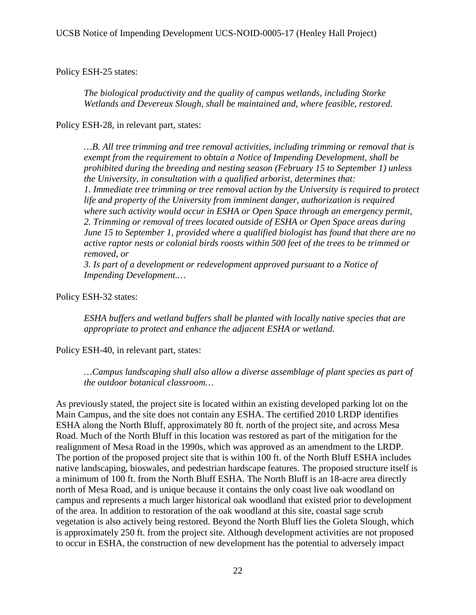Policy ESH-25 states:

*The biological productivity and the quality of campus wetlands, including Storke Wetlands and Devereux Slough, shall be maintained and, where feasible, restored.* 

Policy ESH-28, in relevant part, states:

*…B. All tree trimming and tree removal activities, including trimming or removal that is exempt from the requirement to obtain a Notice of Impending Development, shall be prohibited during the breeding and nesting season (February 15 to September 1) unless the University, in consultation with a qualified arborist, determines that: 1. Immediate tree trimming or tree removal action by the University is required to protect life and property of the University from imminent danger, authorization is required where such activity would occur in ESHA or Open Space through an emergency permit, 2. Trimming or removal of trees located outside of ESHA or Open Space areas during June 15 to September 1, provided where a qualified biologist has found that there are no active raptor nests or colonial birds roosts within 500 feet of the trees to be trimmed or removed, or* 

*3. Is part of a development or redevelopment approved pursuant to a Notice of Impending Development.…* 

Policy ESH-32 states:

*ESHA buffers and wetland buffers shall be planted with locally native species that are appropriate to protect and enhance the adjacent ESHA or wetland.* 

Policy ESH-40, in relevant part, states:

*…Campus landscaping shall also allow a diverse assemblage of plant species as part of the outdoor botanical classroom…* 

As previously stated, the project site is located within an existing developed parking lot on the Main Campus, and the site does not contain any ESHA. The certified 2010 LRDP identifies ESHA along the North Bluff, approximately 80 ft. north of the project site, and across Mesa Road. Much of the North Bluff in this location was restored as part of the mitigation for the realignment of Mesa Road in the 1990s, which was approved as an amendment to the LRDP. The portion of the proposed project site that is within 100 ft. of the North Bluff ESHA includes native landscaping, bioswales, and pedestrian hardscape features. The proposed structure itself is a minimum of 100 ft. from the North Bluff ESHA. The North Bluff is an 18-acre area directly north of Mesa Road, and is unique because it contains the only coast live oak woodland on campus and represents a much larger historical oak woodland that existed prior to development of the area. In addition to restoration of the oak woodland at this site, coastal sage scrub vegetation is also actively being restored. Beyond the North Bluff lies the Goleta Slough, which is approximately 250 ft. from the project site. Although development activities are not proposed to occur in ESHA, the construction of new development has the potential to adversely impact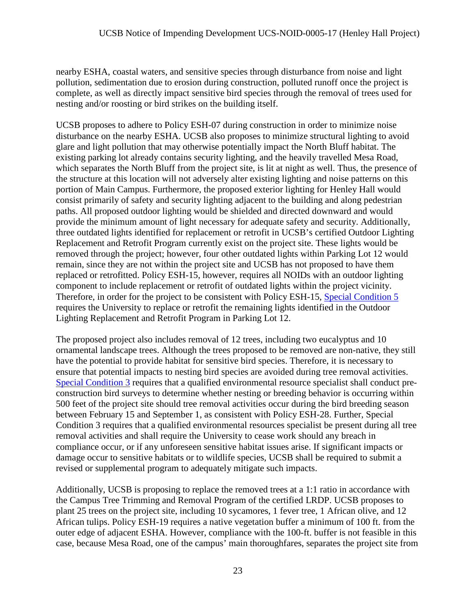nearby ESHA, coastal waters, and sensitive species through disturbance from noise and light pollution, sedimentation due to erosion during construction, polluted runoff once the project is complete, as well as directly impact sensitive bird species through the removal of trees used for nesting and/or roosting or bird strikes on the building itself.

UCSB proposes to adhere to Policy ESH-07 during construction in order to minimize noise disturbance on the nearby ESHA. UCSB also proposes to minimize structural lighting to avoid glare and light pollution that may otherwise potentially impact the North Bluff habitat. The existing parking lot already contains security lighting, and the heavily travelled Mesa Road, which separates the North Bluff from the project site, is lit at night as well. Thus, the presence of the structure at this location will not adversely alter existing lighting and noise patterns on this portion of Main Campus. Furthermore, the proposed exterior lighting for Henley Hall would consist primarily of safety and security lighting adjacent to the building and along pedestrian paths. All proposed outdoor lighting would be shielded and directed downward and would provide the minimum amount of light necessary for adequate safety and security. Additionally, three outdated lights identified for replacement or retrofit in UCSB's certified Outdoor Lighting Replacement and Retrofit Program currently exist on the project site. These lights would be removed through the project; however, four other outdated lights within Parking Lot 12 would remain, since they are not within the project site and UCSB has not proposed to have them replaced or retrofitted. Policy ESH-15, however, requires all NOIDs with an outdoor lighting component to include replacement or retrofit of outdated lights within the project vicinity. Therefore, in order for the project to be consistent with Policy ESH-15, [Special Condition 5](#page-9-0) requires the University to replace or retrofit the remaining lights identified in the Outdoor Lighting Replacement and Retrofit Program in Parking Lot 12.

The proposed project also includes removal of 12 trees, including two eucalyptus and 10 ornamental landscape trees. Although the trees proposed to be removed are non-native, they still have the potential to provide habitat for sensitive bird species. Therefore, it is necessary to ensure that potential impacts to nesting bird species are avoided during tree removal activities. [Special Condition 3](#page-5-1) requires that a qualified environmental resource specialist shall conduct preconstruction bird surveys to determine whether nesting or breeding behavior is occurring within 500 feet of the project site should tree removal activities occur during the bird breeding season between February 15 and September 1, as consistent with Policy ESH-28. Further, Special Condition 3 requires that a qualified environmental resources specialist be present during all tree removal activities and shall require the University to cease work should any breach in compliance occur, or if any unforeseen sensitive habitat issues arise. If significant impacts or damage occur to sensitive habitats or to wildlife species, UCSB shall be required to submit a revised or supplemental program to adequately mitigate such impacts.

Additionally, UCSB is proposing to replace the removed trees at a 1:1 ratio in accordance with the Campus Tree Trimming and Removal Program of the certified LRDP. UCSB proposes to plant 25 trees on the project site, including 10 sycamores, 1 fever tree, 1 African olive, and 12 African tulips. Policy ESH-19 requires a native vegetation buffer a minimum of 100 ft. from the outer edge of adjacent ESHA. However, compliance with the 100-ft. buffer is not feasible in this case, because Mesa Road, one of the campus' main thoroughfares, separates the project site from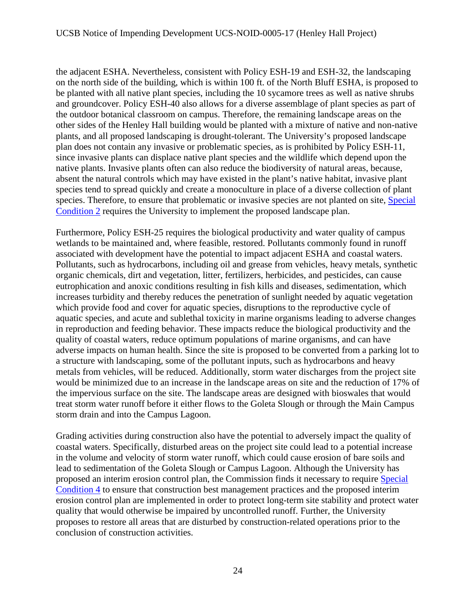the adjacent ESHA. Nevertheless, consistent with Policy ESH-19 and ESH-32, the landscaping on the north side of the building, which is within 100 ft. of the North Bluff ESHA, is proposed to be planted with all native plant species, including the 10 sycamore trees as well as native shrubs and groundcover. Policy ESH-40 also allows for a diverse assemblage of plant species as part of the outdoor botanical classroom on campus. Therefore, the remaining landscape areas on the other sides of the Henley Hall building would be planted with a mixture of native and non-native plants, and all proposed landscaping is drought-tolerant. The University's proposed landscape plan does not contain any invasive or problematic species, as is prohibited by Policy ESH-11, since invasive plants can displace native plant species and the wildlife which depend upon the native plants. Invasive plants often can also reduce the biodiversity of natural areas, because, absent the natural controls which may have existed in the plant's native habitat, invasive plant species tend to spread quickly and create a monoculture in place of a diverse collection of plant species. Therefore, to ensure that problematic or invasive species are not planted on site, Special [Condition 2](#page-5-2) requires the University to implement the proposed landscape plan.

Furthermore, Policy ESH-25 requires the biological productivity and water quality of campus wetlands to be maintained and, where feasible, restored. Pollutants commonly found in runoff associated with development have the potential to impact adjacent ESHA and coastal waters. Pollutants, such as hydrocarbons, including oil and grease from vehicles, heavy metals, synthetic organic chemicals, dirt and vegetation, litter, fertilizers, herbicides, and pesticides, can cause eutrophication and anoxic conditions resulting in fish kills and diseases, sedimentation, which increases turbidity and thereby reduces the penetration of sunlight needed by aquatic vegetation which provide food and cover for aquatic species, disruptions to the reproductive cycle of aquatic species, and acute and sublethal toxicity in marine organisms leading to adverse changes in reproduction and feeding behavior. These impacts reduce the biological productivity and the quality of coastal waters, reduce optimum populations of marine organisms, and can have adverse impacts on human health. Since the site is proposed to be converted from a parking lot to a structure with landscaping, some of the pollutant inputs, such as hydrocarbons and heavy metals from vehicles, will be reduced. Additionally, storm water discharges from the project site would be minimized due to an increase in the landscape areas on site and the reduction of 17% of the impervious surface on the site. The landscape areas are designed with bioswales that would treat storm water runoff before it either flows to the Goleta Slough or through the Main Campus storm drain and into the Campus Lagoon.

Grading activities during construction also have the potential to adversely impact the quality of coastal waters. Specifically, disturbed areas on the project site could lead to a potential increase in the volume and velocity of storm water runoff, which could cause erosion of bare soils and lead to sedimentation of the Goleta Slough or Campus Lagoon. Although the University has proposed an interim erosion control plan, the Commission finds it necessary to require [Special](#page-7-0)  [Condition 4](#page-7-0) to ensure that construction best management practices and the proposed interim erosion control plan are implemented in order to protect long-term site stability and protect water quality that would otherwise be impaired by uncontrolled runoff. Further, the University proposes to restore all areas that are disturbed by construction-related operations prior to the conclusion of construction activities.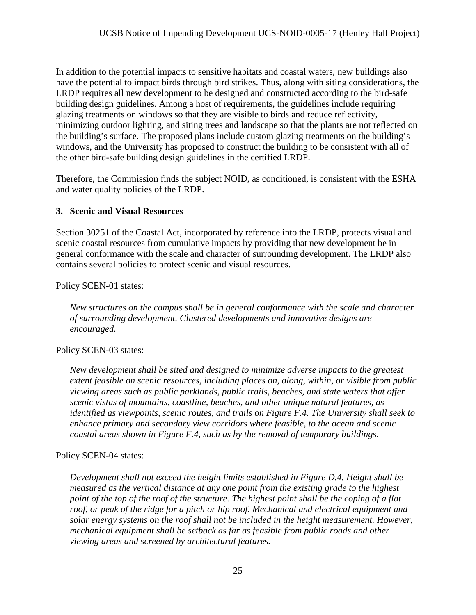In addition to the potential impacts to sensitive habitats and coastal waters, new buildings also have the potential to impact birds through bird strikes. Thus, along with siting considerations, the LRDP requires all new development to be designed and constructed according to the bird-safe building design guidelines. Among a host of requirements, the guidelines include requiring glazing treatments on windows so that they are visible to birds and reduce reflectivity, minimizing outdoor lighting, and siting trees and landscape so that the plants are not reflected on the building's surface. The proposed plans include custom glazing treatments on the building's windows, and the University has proposed to construct the building to be consistent with all of the other bird-safe building design guidelines in the certified LRDP.

Therefore, the Commission finds the subject NOID, as conditioned, is consistent with the ESHA and water quality policies of the LRDP.

# **3. Scenic and Visual Resources**

Section 30251 of the Coastal Act, incorporated by reference into the LRDP, protects visual and scenic coastal resources from cumulative impacts by providing that new development be in general conformance with the scale and character of surrounding development. The LRDP also contains several policies to protect scenic and visual resources.

Policy SCEN-01 states:

*New structures on the campus shall be in general conformance with the scale and character of surrounding development. Clustered developments and innovative designs are encouraged.* 

# Policy SCEN-03 states:

*New development shall be sited and designed to minimize adverse impacts to the greatest extent feasible on scenic resources, including places on, along, within, or visible from public viewing areas such as public parklands, public trails, beaches, and state waters that offer scenic vistas of mountains, coastline, beaches, and other unique natural features, as identified as viewpoints, scenic routes, and trails on Figure F.4. The University shall seek to enhance primary and secondary view corridors where feasible, to the ocean and scenic coastal areas shown in Figure F.4, such as by the removal of temporary buildings.* 

# Policy SCEN-04 states:

*Development shall not exceed the height limits established in Figure D.4. Height shall be measured as the vertical distance at any one point from the existing grade to the highest point of the top of the roof of the structure. The highest point shall be the coping of a flat*  roof, or peak of the ridge for a pitch or hip roof. Mechanical and electrical equipment and *solar energy systems on the roof shall not be included in the height measurement. However, mechanical equipment shall be setback as far as feasible from public roads and other viewing areas and screened by architectural features.*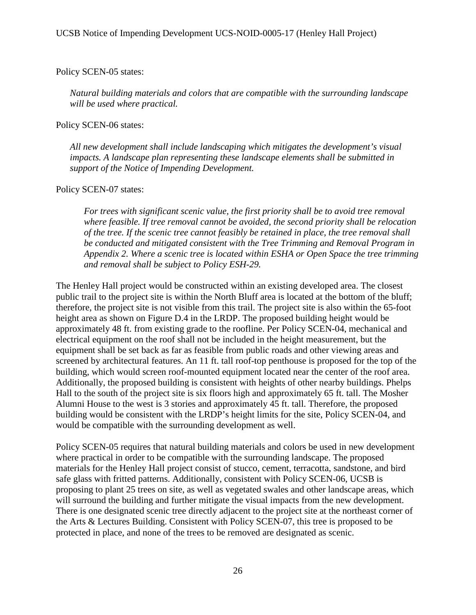#### Policy SCEN-05 states:

*Natural building materials and colors that are compatible with the surrounding landscape will be used where practical.* 

#### Policy SCEN-06 states:

*All new development shall include landscaping which mitigates the development's visual impacts. A landscape plan representing these landscape elements shall be submitted in support of the Notice of Impending Development.* 

#### Policy SCEN-07 states:

*For trees with significant scenic value, the first priority shall be to avoid tree removal where feasible. If tree removal cannot be avoided, the second priority shall be relocation of the tree. If the scenic tree cannot feasibly be retained in place, the tree removal shall be conducted and mitigated consistent with the Tree Trimming and Removal Program in Appendix 2. Where a scenic tree is located within ESHA or Open Space the tree trimming and removal shall be subject to Policy ESH-29.* 

The Henley Hall project would be constructed within an existing developed area. The closest public trail to the project site is within the North Bluff area is located at the bottom of the bluff; therefore, the project site is not visible from this trail. The project site is also within the 65-foot height area as shown on Figure D.4 in the LRDP. The proposed building height would be approximately 48 ft. from existing grade to the roofline. Per Policy SCEN-04, mechanical and electrical equipment on the roof shall not be included in the height measurement, but the equipment shall be set back as far as feasible from public roads and other viewing areas and screened by architectural features. An 11 ft. tall roof-top penthouse is proposed for the top of the building, which would screen roof-mounted equipment located near the center of the roof area. Additionally, the proposed building is consistent with heights of other nearby buildings. Phelps Hall to the south of the project site is six floors high and approximately 65 ft. tall. The Mosher Alumni House to the west is 3 stories and approximately 45 ft. tall. Therefore, the proposed building would be consistent with the LRDP's height limits for the site, Policy SCEN-04, and would be compatible with the surrounding development as well.

Policy SCEN-05 requires that natural building materials and colors be used in new development where practical in order to be compatible with the surrounding landscape. The proposed materials for the Henley Hall project consist of stucco, cement, terracotta, sandstone, and bird safe glass with fritted patterns. Additionally, consistent with Policy SCEN-06, UCSB is proposing to plant 25 trees on site, as well as vegetated swales and other landscape areas, which will surround the building and further mitigate the visual impacts from the new development. There is one designated scenic tree directly adjacent to the project site at the northeast corner of the Arts & Lectures Building. Consistent with Policy SCEN-07, this tree is proposed to be protected in place, and none of the trees to be removed are designated as scenic.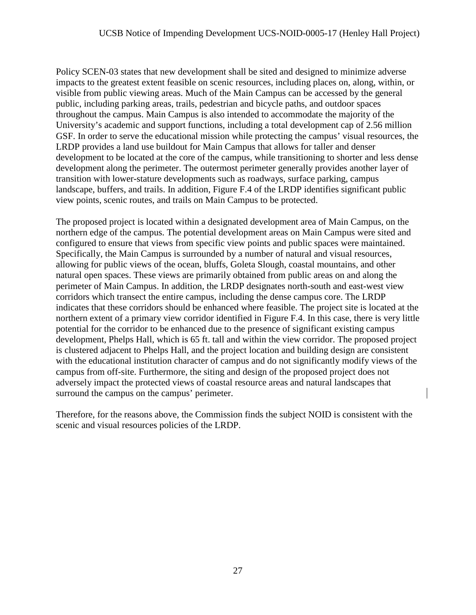Policy SCEN-03 states that new development shall be sited and designed to minimize adverse impacts to the greatest extent feasible on scenic resources, including places on, along, within, or visible from public viewing areas. Much of the Main Campus can be accessed by the general public, including parking areas, trails, pedestrian and bicycle paths, and outdoor spaces throughout the campus. Main Campus is also intended to accommodate the majority of the University's academic and support functions, including a total development cap of 2.56 million GSF. In order to serve the educational mission while protecting the campus' visual resources, the LRDP provides a land use buildout for Main Campus that allows for taller and denser development to be located at the core of the campus, while transitioning to shorter and less dense development along the perimeter. The outermost perimeter generally provides another layer of transition with lower-stature developments such as roadways, surface parking, campus landscape, buffers, and trails. In addition, Figure F.4 of the LRDP identifies significant public view points, scenic routes, and trails on Main Campus to be protected.

The proposed project is located within a designated development area of Main Campus, on the northern edge of the campus. The potential development areas on Main Campus were sited and configured to ensure that views from specific view points and public spaces were maintained. Specifically, the Main Campus is surrounded by a number of natural and visual resources, allowing for public views of the ocean, bluffs, Goleta Slough, coastal mountains, and other natural open spaces. These views are primarily obtained from public areas on and along the perimeter of Main Campus. In addition, the LRDP designates north-south and east-west view corridors which transect the entire campus, including the dense campus core. The LRDP indicates that these corridors should be enhanced where feasible. The project site is located at the northern extent of a primary view corridor identified in Figure F.4. In this case, there is very little potential for the corridor to be enhanced due to the presence of significant existing campus development, Phelps Hall, which is 65 ft. tall and within the view corridor. The proposed project is clustered adjacent to Phelps Hall, and the project location and building design are consistent with the educational institution character of campus and do not significantly modify views of the campus from off-site. Furthermore, the siting and design of the proposed project does not adversely impact the protected views of coastal resource areas and natural landscapes that surround the campus on the campus' perimeter.

Therefore, for the reasons above, the Commission finds the subject NOID is consistent with the scenic and visual resources policies of the LRDP.